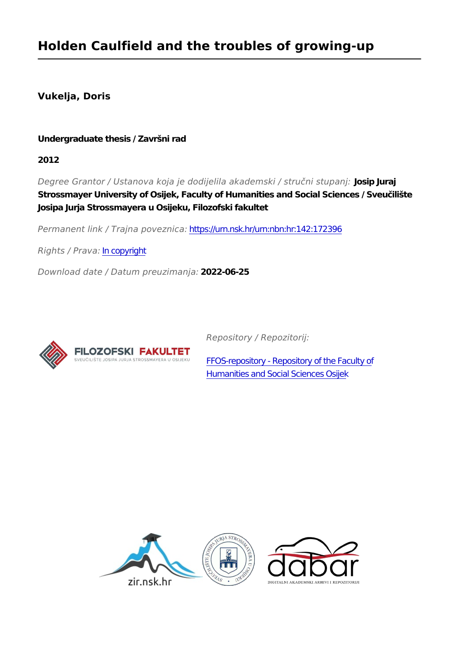# **Vukelja, Doris**

## **Undergraduate thesis / Završni rad**

**2012**

*Degree Grantor / Ustanova koja je dodijelila akademski / stručni stupanj:* **Josip Juraj Strossmayer University of Osijek, Faculty of Humanities and Social Sciences / Sveučilište Josipa Jurja Strossmayera u Osijeku, Filozofski fakultet**

*Permanent link / Trajna poveznica:* <https://urn.nsk.hr/urn:nbn:hr:142:172396>

*Rights / Prava:* [In copyright](http://rightsstatements.org/vocab/InC/1.0/)

*Download date / Datum preuzimanja:* **2022-06-25**



*Repository / Repozitorij:*

[FFOS-repository - Repository of the Faculty of](https://repozitorij.ffos.hr) [Humanities and Social Sciences Osijek](https://repozitorij.ffos.hr)

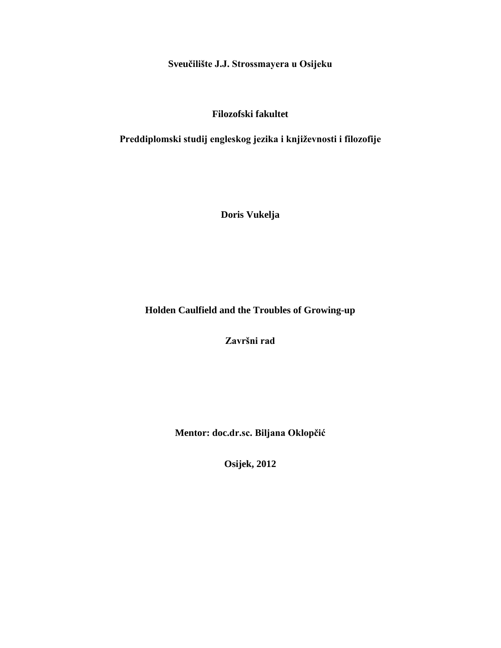**Sveučilište J.J. Strossmayera u Osijeku**

## **Filozofski fakultet**

## **Preddiplomski studij engleskog jezika i književnosti i filozofije**

**Doris Vukelja**

**Holden Caulfield and the Troubles of Growing-up**

**Završni rad**

**Mentor: doc.dr.sc. Biljana Oklopčić**

**Osijek, 2012**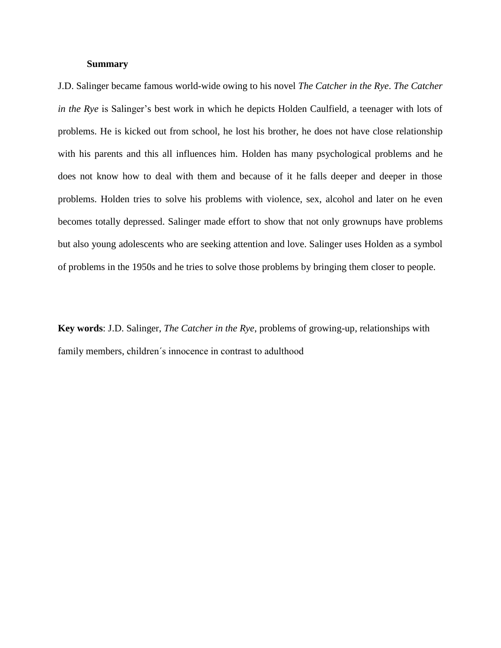## **Summary**

J.D. Salinger became famous world-wide owing to his novel *The Catcher in the Rye*. *The Catcher in the Rye* is Salinger's best work in which he depicts Holden Caulfield, a teenager with lots of problems. He is kicked out from school, he lost his brother, he does not have close relationship with his parents and this all influences him. Holden has many psychological problems and he does not know how to deal with them and because of it he falls deeper and deeper in those problems. Holden tries to solve his problems with violence, sex, alcohol and later on he even becomes totally depressed. Salinger made effort to show that not only grownups have problems but also young adolescents who are seeking attention and love. Salinger uses Holden as a symbol of problems in the 1950s and he tries to solve those problems by bringing them closer to people.

**Key words**: J.D. Salinger, *The Catcher in the Rye*, problems of growing-up, relationships with family members, children´s innocence in contrast to adulthood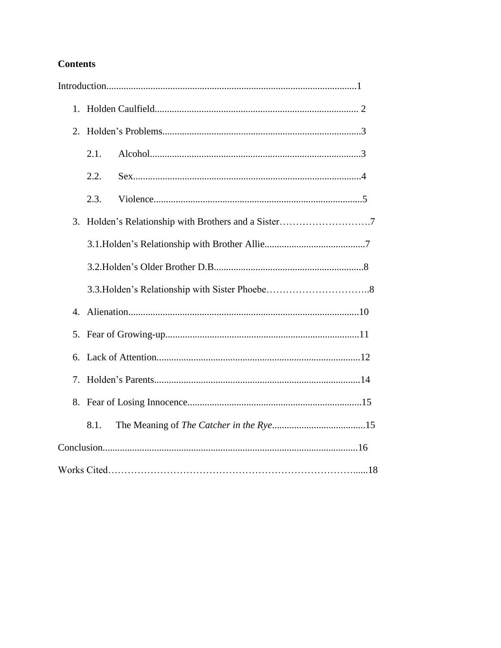# **Contents**

| 1.           |      |  |
|--------------|------|--|
| 2.           |      |  |
|              | 2.1. |  |
|              | 2.2. |  |
|              | 2.3. |  |
| 3.           |      |  |
|              |      |  |
|              |      |  |
|              |      |  |
| $\mathbf{4}$ |      |  |
|              |      |  |
| 6.           |      |  |
| 7.           |      |  |
|              |      |  |
|              | 8.1. |  |
|              |      |  |
|              |      |  |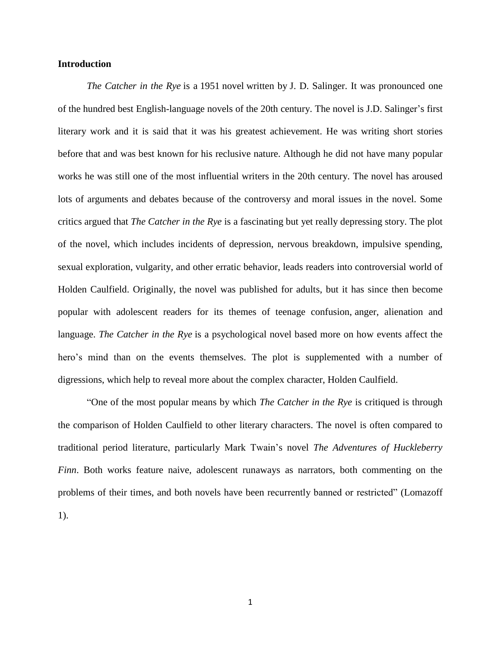## **Introduction**

*The Catcher in the Rye* is a 1951 novel written by J. D. Salinger. It was pronounced one of the hundred best English-language novels of the 20th century. The novel is J.D. Salinger's first literary work and it is said that it was his greatest achievement. He was writing short stories before that and was best known for his reclusive nature. Although he did not have many popular works he was still one of the most influential writers in the 20th century. The novel has aroused lots of arguments and debates because of the controversy and moral issues in the novel. Some critics argued that *The Catcher in the Rye* is a fascinating but yet really depressing story. The plot of the novel, which includes incidents of depression, nervous breakdown, impulsive spending, sexual exploration, vulgarity, and other erratic behavior, leads readers into controversial world of Holden Caulfield. Originally, the novel was published for adults, but it has since then become popular with adolescent readers for its themes of teenage confusion, anger, alienation and language. *The Catcher in the Rye* is a psychological novel based more on how events affect the hero's mind than on the events themselves. The plot is supplemented with a number of digressions, which help to reveal more about the complex character, Holden Caulfield.

"One of the most popular means by which *The Catcher in the Rye* is critiqued is through the comparison of Holden Caulfield to other literary characters. The novel is often compared to traditional period literature, particularly Mark Twain's novel *The Adventures of Huckleberry Finn*. Both works feature naive, adolescent runaways as narrators, both commenting on the problems of their times, and both novels have been recurrently banned or restricted" (Lomazoff 1).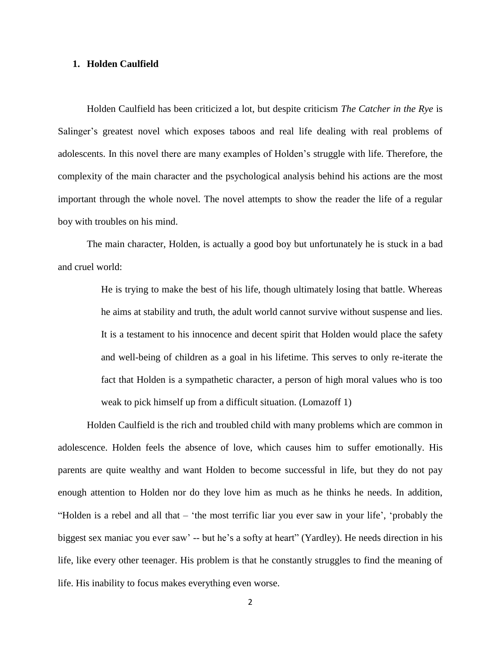#### **1. Holden Caulfield**

Holden Caulfield has been criticized a lot, but despite criticism *The Catcher in the Rye* is Salinger's greatest novel which exposes taboos and real life dealing with real problems of adolescents. In this novel there are many examples of Holden's struggle with life. Therefore, the complexity of the main character and the psychological analysis behind his actions are the most important through the whole novel. The novel attempts to show the reader the life of a regular boy with troubles on his mind.

The main character, Holden, is actually a good boy but unfortunately he is stuck in a bad and cruel world:

> He is trying to make the best of his life, though ultimately losing that battle. Whereas he aims at stability and truth, the adult world cannot survive without suspense and lies. It is a testament to his innocence and decent spirit that Holden would place the safety and well-being of children as a goal in his lifetime. This serves to only re-iterate the fact that Holden is a sympathetic character, a person of high moral values who is too weak to pick himself up from a difficult situation. (Lomazoff 1)

Holden Caulfield is the rich and troubled child with many problems which are common in adolescence. Holden feels the absence of love, which causes him to suffer emotionally. His parents are quite wealthy and want Holden to become successful in life, but they do not pay enough attention to Holden nor do they love him as much as he thinks he needs. In addition, "Holden is a rebel and all that – 'the most terrific liar you ever saw in your life', 'probably the biggest sex maniac you ever saw' -- but he's a softy at heart" (Yardley). He needs direction in his life, like every other teenager. His problem is that he constantly struggles to find the meaning of life. His inability to focus makes everything even worse.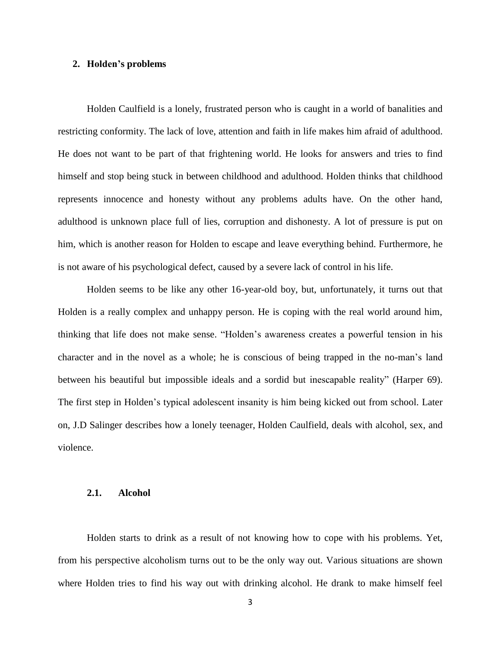#### **2. Holden's problems**

Holden Caulfield is a lonely, frustrated person who is caught in a world of banalities and restricting conformity. The lack of love, attention and faith in life makes him afraid of adulthood. He does not want to be part of that frightening world. He looks for answers and tries to find himself and stop being stuck in between childhood and adulthood. Holden thinks that childhood represents innocence and honesty without any problems adults have. On the other hand, adulthood is unknown place full of lies, corruption and dishonesty. A lot of pressure is put on him, which is another reason for Holden to escape and leave everything behind. Furthermore, he is not aware of his psychological defect, caused by a severe lack of control in his life.

Holden seems to be like any other 16-year-old boy, but, unfortunately, it turns out that Holden is a really complex and unhappy person. He is coping with the real world around him, thinking that life does not make sense. "Holden's awareness creates a powerful tension in his character and in the novel as a whole; he is conscious of being trapped in the no-man's land between his beautiful but impossible ideals and a sordid but inescapable reality" (Harper 69). The first step in Holden's typical adolescent insanity is him being kicked out from school. Later on, J.D Salinger describes how a lonely teenager, Holden Caulfield, deals with alcohol, sex, and violence.

#### **2.1. Alcohol**

Holden starts to drink as a result of not knowing how to cope with his problems. Yet, from his perspective alcoholism turns out to be the only way out. Various situations are shown where Holden tries to find his way out with drinking alcohol. He drank to make himself feel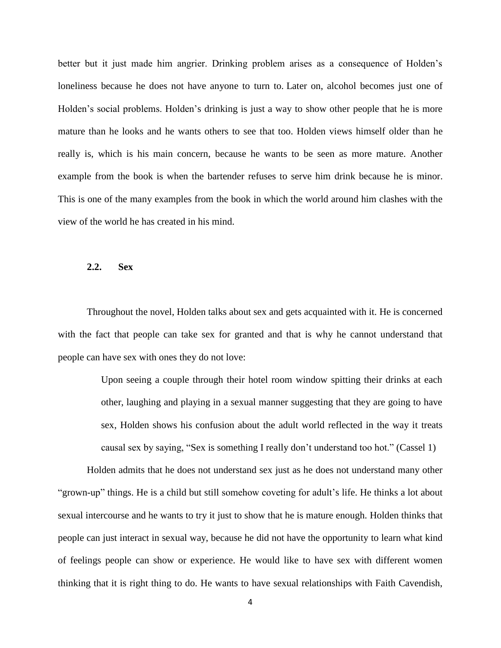better but it just made him angrier. Drinking problem arises as a consequence of Holden's loneliness because he does not have anyone to turn to. Later on, alcohol becomes just one of Holden's social problems. Holden's drinking is just a way to show other people that he is more mature than he looks and he wants others to see that too. Holden views himself older than he really is, which is his main concern, because he wants to be seen as more mature. Another example from the book is when the bartender refuses to serve him drink because he is minor. This is one of the many examples from the book in which the world around him clashes with the view of the world he has created in his mind.

### **2.2. Sex**

Throughout the novel, Holden talks about sex and gets acquainted with it. He is concerned with the fact that people can take sex for granted and that is why he cannot understand that people can have sex with ones they do not love:

> Upon seeing a couple through their hotel room window spitting their drinks at each other, laughing and playing in a sexual manner suggesting that they are going to have sex, Holden shows his confusion about the adult world reflected in the way it treats causal sex by saying, "Sex is something I really don't understand too hot." (Cassel 1)

Holden admits that he does not understand sex just as he does not understand many other "grown-up" things. He is a child but still somehow coveting for adult's life. He thinks a lot about sexual intercourse and he wants to try it just to show that he is mature enough. Holden thinks that people can just interact in sexual way, because he did not have the opportunity to learn what kind of feelings people can show or experience. He would like to have sex with different women thinking that it is right thing to do. He wants to have sexual relationships with Faith Cavendish,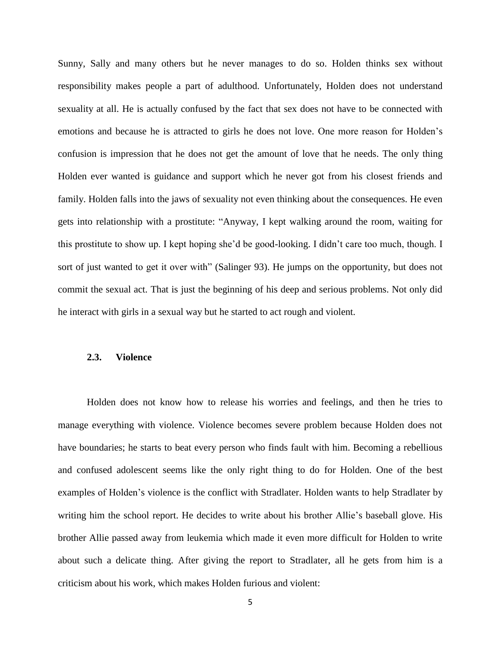Sunny, Sally and many others but he never manages to do so. Holden thinks sex without responsibility makes people a part of adulthood. Unfortunately, Holden does not understand sexuality at all. He is actually confused by the fact that sex does not have to be connected with emotions and because he is attracted to girls he does not love. One more reason for Holden's confusion is impression that he does not get the amount of love that he needs. The only thing Holden ever wanted is guidance and support which he never got from his closest friends and family. Holden falls into the jaws of sexuality not even thinking about the consequences. He even gets into relationship with a prostitute: "Anyway, I kept walking around the room, waiting for this prostitute to show up. I kept hoping she'd be good-looking. I didn't care too much, though. I sort of just wanted to get it over with" (Salinger 93). He jumps on the opportunity, but does not commit the sexual act. That is just the beginning of his deep and serious problems. Not only did he interact with girls in a sexual way but he started to act rough and violent.

#### **2.3. Violence**

Holden does not know how to release his worries and feelings, and then he tries to manage everything with violence. Violence becomes severe problem because Holden does not have boundaries; he starts to beat every person who finds fault with him. Becoming a rebellious and confused adolescent seems like the only right thing to do for Holden. One of the best examples of Holden's violence is the conflict with Stradlater. Holden wants to help Stradlater by writing him the school report. He decides to write about his brother Allie's baseball glove. His brother Allie passed away from leukemia which made it even more difficult for Holden to write about such a delicate thing. After giving the report to Stradlater, all he gets from him is a criticism about his work, which makes Holden furious and violent: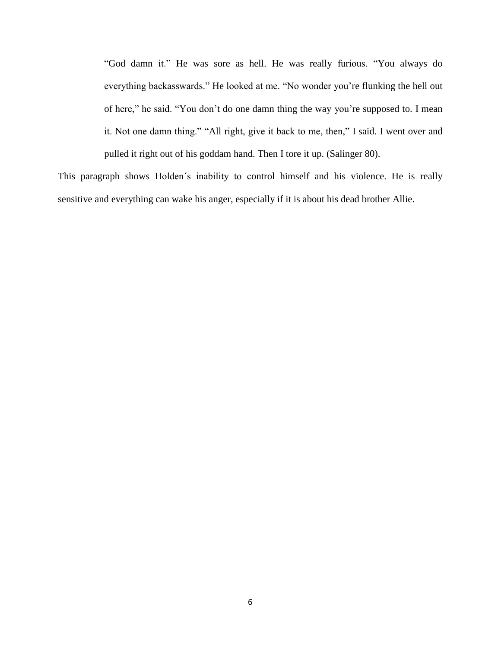"God damn it." He was sore as hell. He was really furious. "You always do everything backasswards." He looked at me. "No wonder you're flunking the hell out of here," he said. "You don't do one damn thing the way you're supposed to. I mean it. Not one damn thing." "All right, give it back to me, then," I said. I went over and pulled it right out of his goddam hand. Then I tore it up. (Salinger 80).

This paragraph shows Holden´s inability to control himself and his violence. He is really sensitive and everything can wake his anger, especially if it is about his dead brother Allie.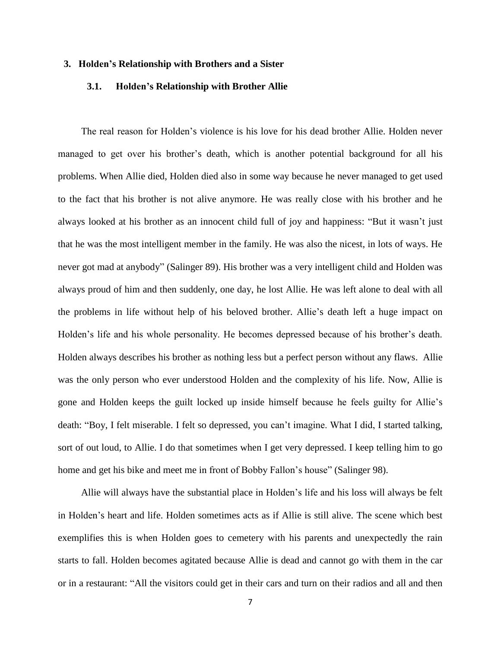#### **3. Holden's Relationship with Brothers and a Sister**

#### **3.1. Holden's Relationship with Brother Allie**

The real reason for Holden's violence is his love for his dead brother Allie. Holden never managed to get over his brother's death, which is another potential background for all his problems. When Allie died, Holden died also in some way because he never managed to get used to the fact that his brother is not alive anymore. He was really close with his brother and he always looked at his brother as an innocent child full of joy and happiness: "But it wasn't just that he was the most intelligent member in the family. He was also the nicest, in lots of ways. He never got mad at anybody" (Salinger 89). His brother was a very intelligent child and Holden was always proud of him and then suddenly, one day, he lost Allie. He was left alone to deal with all the problems in life without help of his beloved brother. Allie's death left a huge impact on Holden's life and his whole personality. He becomes depressed because of his brother's death. Holden always describes his brother as nothing less but a perfect person without any flaws. Allie was the only person who ever understood Holden and the complexity of his life. Now, Allie is gone and Holden keeps the guilt locked up inside himself because he feels guilty for Allie's death: "Boy, I felt miserable. I felt so depressed, you can't imagine. What I did, I started talking, sort of out loud, to Allie. I do that sometimes when I get very depressed. I keep telling him to go home and get his bike and meet me in front of Bobby Fallon's house" (Salinger 98).

Allie will always have the substantial place in Holden's life and his loss will always be felt in Holden's heart and life. Holden sometimes acts as if Allie is still alive. The scene which best exemplifies this is when Holden goes to cemetery with his parents and unexpectedly the rain starts to fall. Holden becomes agitated because Allie is dead and cannot go with them in the car or in a restaurant: "All the visitors could get in their cars and turn on their radios and all and then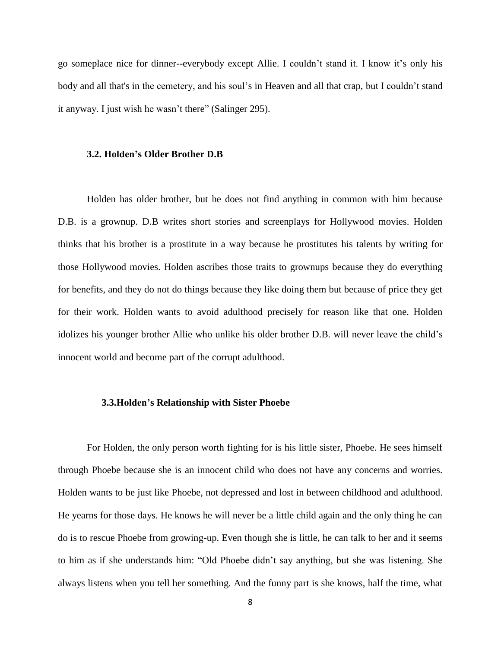go someplace nice for dinner--everybody except Allie. I couldn't stand it. I know it's only his body and all that's in the cemetery, and his soul's in Heaven and all that crap, but I couldn't stand it anyway. I just wish he wasn't there" (Salinger 295).

#### **3.2. Holden's Older Brother D.B**

Holden has older brother, but he does not find anything in common with him because D.B. is a grownup. D.B writes short stories and screenplays for Hollywood movies. Holden thinks that his brother is a prostitute in a way because he prostitutes his talents by writing for those Hollywood movies. Holden ascribes those traits to grownups because they do everything for benefits, and they do not do things because they like doing them but because of price they get for their work. Holden wants to avoid adulthood precisely for reason like that one. Holden idolizes his younger brother Allie who unlike his older brother D.B. will never leave the child's innocent world and become part of the corrupt adulthood.

#### **3.3.Holden's Relationship with Sister Phoebe**

For Holden, the only person worth fighting for is his little sister, Phoebe. He sees himself through Phoebe because she is an innocent child who does not have any concerns and worries. Holden wants to be just like Phoebe, not depressed and lost in between childhood and adulthood. He yearns for those days. He knows he will never be a little child again and the only thing he can do is to rescue Phoebe from growing-up. Even though she is little, he can talk to her and it seems to him as if she understands him: "Old Phoebe didn't say anything, but she was listening. She always listens when you tell her something. And the funny part is she knows, half the time, what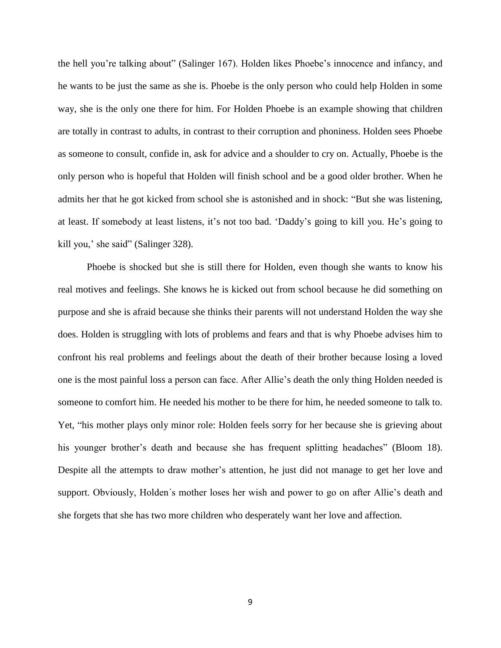the hell you're talking about" (Salinger 167). Holden likes Phoebe's innocence and infancy, and he wants to be just the same as she is. Phoebe is the only person who could help Holden in some way, she is the only one there for him. For Holden Phoebe is an example showing that children are totally in contrast to adults, in contrast to their corruption and phoniness. Holden sees Phoebe as someone to consult, confide in, ask for advice and a shoulder to cry on. Actually, Phoebe is the only person who is hopeful that Holden will finish school and be a good older brother. When he admits her that he got kicked from school she is astonished and in shock: "But she was listening, at least. If somebody at least listens, it's not too bad. 'Daddy's going to kill you. He's going to kill you,' she said" (Salinger 328).

Phoebe is shocked but she is still there for Holden, even though she wants to know his real motives and feelings. She knows he is kicked out from school because he did something on purpose and she is afraid because she thinks their parents will not understand Holden the way she does. Holden is struggling with lots of problems and fears and that is why Phoebe advises him to confront his real problems and feelings about the death of their brother because losing a loved one is the most painful loss a person can face. After Allie's death the only thing Holden needed is someone to comfort him. He needed his mother to be there for him, he needed someone to talk to. Yet, "his mother plays only minor role: Holden feels sorry for her because she is grieving about his younger brother's death and because she has frequent splitting headaches" (Bloom 18). Despite all the attempts to draw mother's attention, he just did not manage to get her love and support. Obviously, Holden´s mother loses her wish and power to go on after Allie's death and she forgets that she has two more children who desperately want her love and affection.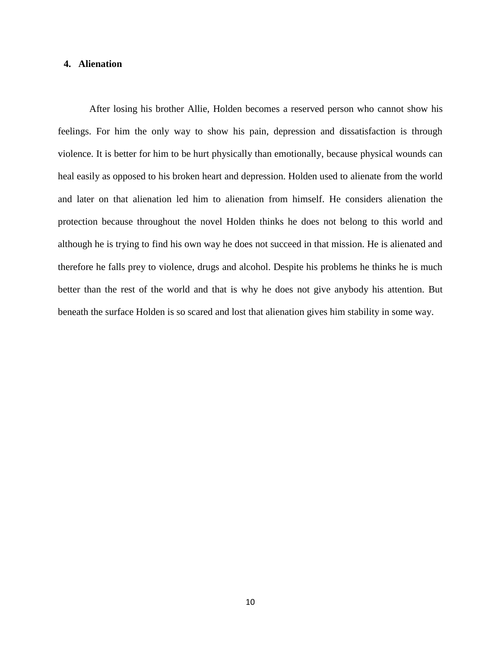## **4. Alienation**

After losing his brother Allie, Holden becomes a reserved person who cannot show his feelings. For him the only way to show his pain, depression and dissatisfaction is through violence. It is better for him to be hurt physically than emotionally, because physical wounds can heal easily as opposed to his broken heart and depression. Holden used to alienate from the world and later on that alienation led him to alienation from himself. He considers alienation the protection because throughout the novel Holden thinks he does not belong to this world and although he is trying to find his own way he does not succeed in that mission. He is alienated and therefore he falls prey to violence, drugs and alcohol. Despite his problems he thinks he is much better than the rest of the world and that is why he does not give anybody his attention. But beneath the surface Holden is so scared and lost that alienation gives him stability in some way.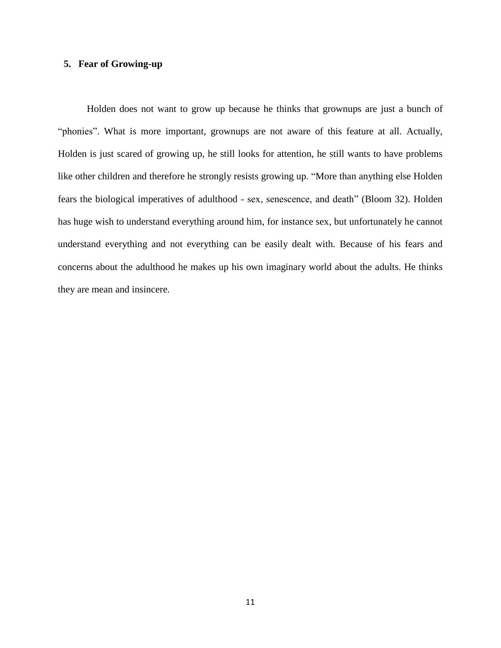## **5. Fear of Growing-up**

Holden does not want to grow up because he thinks that grownups are just a bunch of "phonies". What is more important, grownups are not aware of this feature at all. Actually, Holden is just scared of growing up, he still looks for attention, he still wants to have problems like other children and therefore he strongly resists growing up. "More than anything else Holden fears the biological imperatives of adulthood - sex, senescence, and death" (Bloom 32). Holden has huge wish to understand everything around him, for instance sex, but unfortunately he cannot understand everything and not everything can be easily dealt with. Because of his fears and concerns about the adulthood he makes up his own imaginary world about the adults. He thinks they are mean and insincere.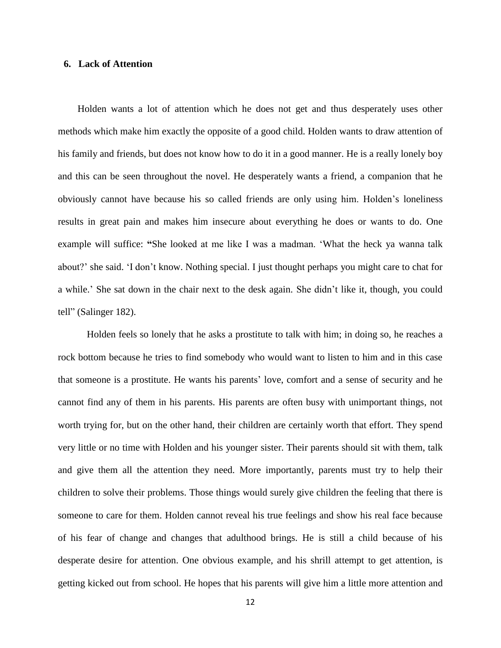#### **6. Lack of Attention**

 Holden wants a lot of attention which he does not get and thus desperately uses other methods which make him exactly the opposite of a good child. Holden wants to draw attention of his family and friends, but does not know how to do it in a good manner. He is a really lonely boy and this can be seen throughout the novel. He desperately wants a friend, a companion that he obviously cannot have because his so called friends are only using him. Holden's loneliness results in great pain and makes him insecure about everything he does or wants to do. One example will suffice: **"**She looked at me like I was a madman. 'What the heck ya wanna talk about?' she said. 'I don't know. Nothing special. I just thought perhaps you might care to chat for a while.' She sat down in the chair next to the desk again. She didn't like it, though, you could tell" (Salinger 182).

Holden feels so lonely that he asks a prostitute to talk with him; in doing so, he reaches a rock bottom because he tries to find somebody who would want to listen to him and in this case that someone is a prostitute. He wants his parents' love, comfort and a sense of security and he cannot find any of them in his parents. His parents are often busy with unimportant things, not worth trying for, but on the other hand, their children are certainly worth that effort. They spend very little or no time with Holden and his younger sister. Their parents should sit with them, talk and give them all the attention they need. More importantly, parents must try to help their children to solve their problems. Those things would surely give children the feeling that there is someone to care for them. Holden cannot reveal his true feelings and show his real face because of his fear of change and changes that adulthood brings. He is still a child because of his desperate desire for attention. One obvious example, and his shrill attempt to get attention, is getting kicked out from school. He hopes that his parents will give him a little more attention and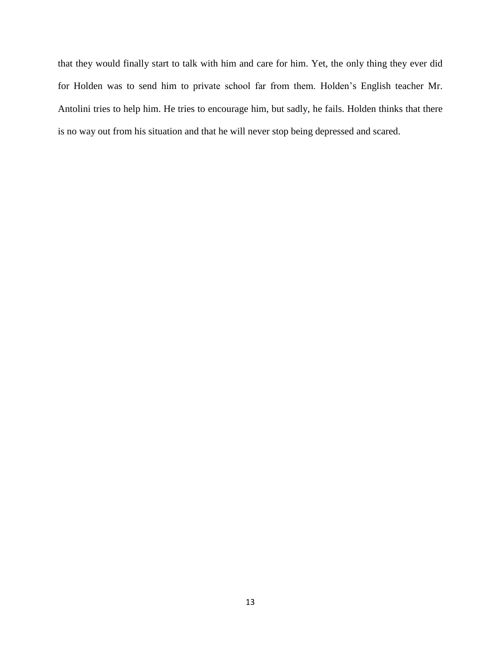that they would finally start to talk with him and care for him. Yet, the only thing they ever did for Holden was to send him to private school far from them. Holden's English teacher Mr. Antolini tries to help him. He tries to encourage him, but sadly, he fails. Holden thinks that there is no way out from his situation and that he will never stop being depressed and scared.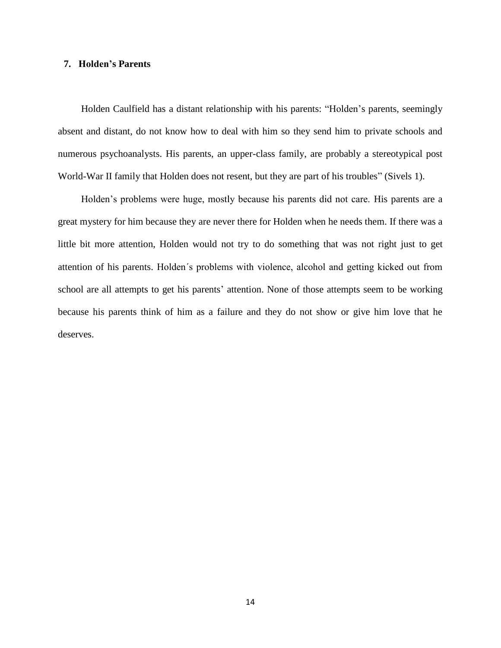## **7. Holden's Parents**

Holden Caulfield has a distant relationship with his parents: "Holden's parents, seemingly absent and distant, do not know how to deal with him so they send him to private schools and numerous psychoanalysts. His parents, an upper-class family, are probably a stereotypical post World-War II family that Holden does not resent, but they are part of his troubles" (Sivels 1).

Holden's problems were huge, mostly because his parents did not care. His parents are a great mystery for him because they are never there for Holden when he needs them. If there was a little bit more attention, Holden would not try to do something that was not right just to get attention of his parents. Holden´s problems with violence, alcohol and getting kicked out from school are all attempts to get his parents' attention. None of those attempts seem to be working because his parents think of him as a failure and they do not show or give him love that he deserves.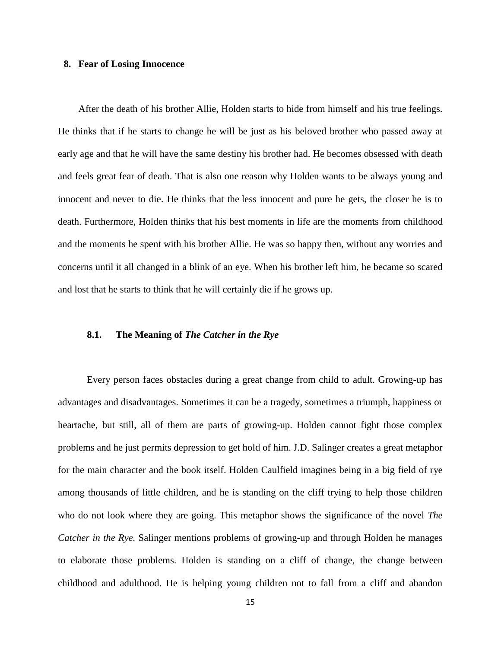#### **8. Fear of Losing Innocence**

After the death of his brother Allie, Holden starts to hide from himself and his true feelings. He thinks that if he starts to change he will be just as his beloved brother who passed away at early age and that he will have the same destiny his brother had. He becomes obsessed with death and feels great fear of death. That is also one reason why Holden wants to be always young and innocent and never to die. He thinks that the less innocent and pure he gets, the closer he is to death. Furthermore, Holden thinks that his best moments in life are the moments from childhood and the moments he spent with his brother Allie. He was so happy then, without any worries and concerns until it all changed in a blink of an eye. When his brother left him, he became so scared and lost that he starts to think that he will certainly die if he grows up.

#### **8.1. The Meaning of** *The Catcher in the Rye*

Every person faces obstacles during a great change from child to adult. Growing-up has advantages and disadvantages. Sometimes it can be a tragedy, sometimes a triumph, happiness or heartache, but still, all of them are parts of growing-up. Holden cannot fight those complex problems and he just permits depression to get hold of him. J.D. Salinger creates a great metaphor for the main character and the book itself. Holden Caulfield imagines being in a big field of rye among thousands of little children, and he is standing on the cliff trying to help those children who do not look where they are going. This metaphor shows the significance of the novel *The Catcher in the Rye.* Salinger mentions problems of growing-up and through Holden he manages to elaborate those problems. Holden is standing on a cliff of change, the change between childhood and adulthood. He is helping young children not to fall from a cliff and abandon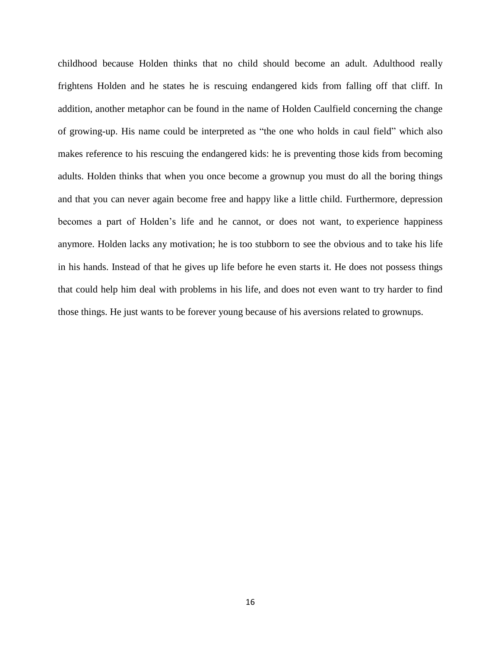childhood because Holden thinks that no child should become an adult. Adulthood really frightens Holden and he states he is rescuing endangered kids from falling off that cliff. In addition, another metaphor can be found in the name of Holden Caulfield concerning the change of growing-up. His name could be interpreted as "the one who holds in caul field" which also makes reference to his rescuing the endangered kids: he is preventing those kids from becoming adults. Holden thinks that when you once become a grownup you must do all the boring things and that you can never again become free and happy like a little child. Furthermore, depression becomes a part of Holden's life and he cannot, or does not want, to experience happiness anymore. Holden lacks any motivation; he is too stubborn to see the obvious and to take his life in his hands. Instead of that he gives up life before he even starts it. He does not possess things that could help him deal with problems in his life, and does not even want to try harder to find those things. He just wants to be forever young because of his aversions related to grownups.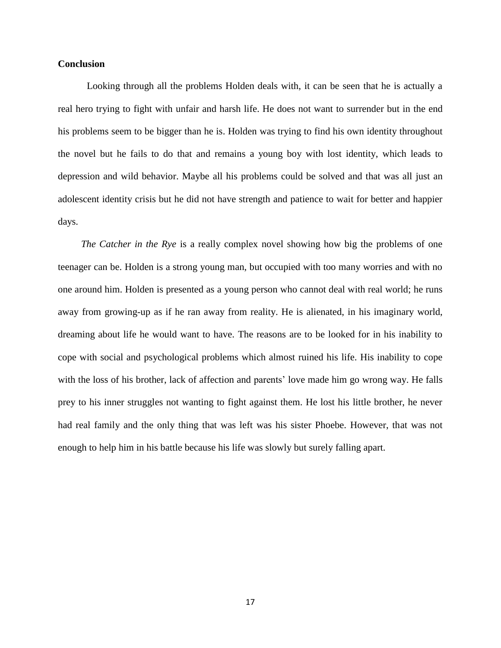## **Conclusion**

Looking through all the problems Holden deals with, it can be seen that he is actually a real hero trying to fight with unfair and harsh life. He does not want to surrender but in the end his problems seem to be bigger than he is. Holden was trying to find his own identity throughout the novel but he fails to do that and remains a young boy with lost identity, which leads to depression and wild behavior. Maybe all his problems could be solved and that was all just an adolescent identity crisis but he did not have strength and patience to wait for better and happier days.

*The Catcher in the Rye* is a really complex novel showing how big the problems of one teenager can be. Holden is a strong young man, but occupied with too many worries and with no one around him. Holden is presented as a young person who cannot deal with real world; he runs away from growing-up as if he ran away from reality. He is alienated, in his imaginary world, dreaming about life he would want to have. The reasons are to be looked for in his inability to cope with social and psychological problems which almost ruined his life. His inability to cope with the loss of his brother, lack of affection and parents' love made him go wrong way. He falls prey to his inner struggles not wanting to fight against them. He lost his little brother, he never had real family and the only thing that was left was his sister Phoebe. However, that was not enough to help him in his battle because his life was slowly but surely falling apart.